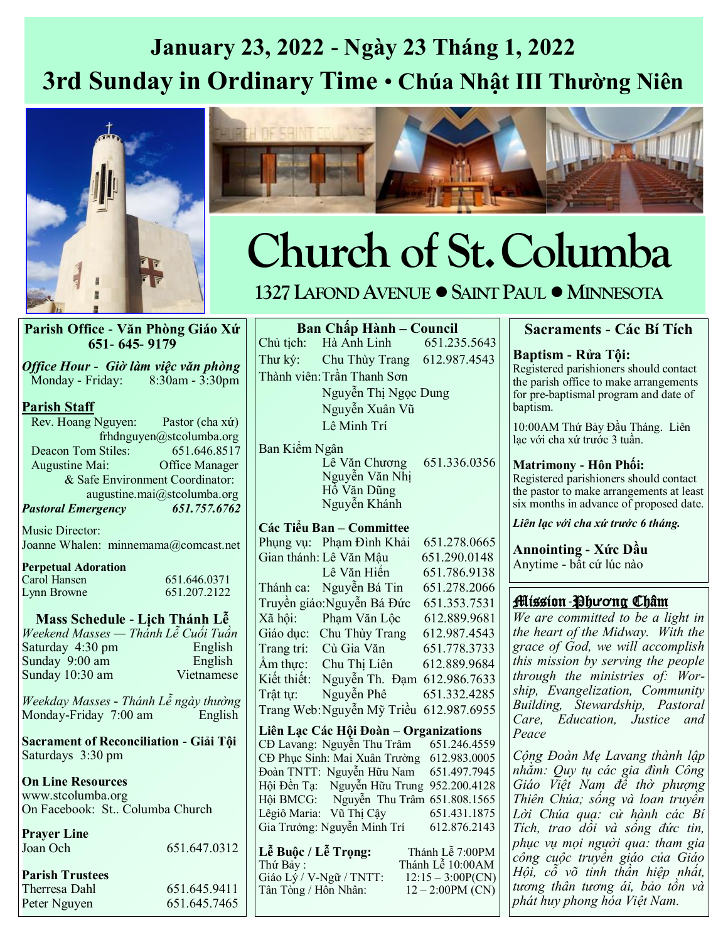## **January 23, 2022 - Ngày 23 Tháng 1, 2022 3rd Sunday in Ordinary Time** • **Chúa Nhật III Thường Niên**





# **Church of St.Columba**

### **1327 LAFOND AVENUE •SAINT PAUL •MINNESOTA**

#### **Parish Office - Văn Phòng Giáo Xứ 651- 645- 9179**

*Office Hour - Giờ làm việc văn phòng*  Monday - Friday: 8:30am - 3:30pm

### **Parish Staff**

 Rev. Hoang Nguyen: Pastor (cha xứ) frhdnguyen@stcolumba.org Deacon Tom Stiles: 651.646.8517 Augustine Mai: Office Manager & Safe Environment Coordinator: augustine.mai@stcolumba.org *Pastoral Emergency 651.757.6762*

Music Director: Joanne Whalen: minnemama@comcast.net

#### **Perpetual Adoration** Carol Hansen 651.646.0371<br>
Lynn Browne 651.207.2122 Lynn Browne

**Mass Schedule - Lịch Thánh Lễ** *Weekend Masses — Thánh Lễ Cuối Tuần* Saturday 4:30 pm English Sunday  $9:00$  am Sunday 10:30 am Vietnamese

*Weekday Masses - Thánh Lễ ngày thường* Monday-Friday 7:00 am English

**Sacrament of Reconciliation - Giải Tội** Saturdays 3:30 pm

**On Line Resources** www.stcolumba.org On Facebook: St.. Columba Church

| <b>Prayer Line</b><br>Joan Och | 651.647.0312 |
|--------------------------------|--------------|
| <b>Parish Trustees</b>         |              |
| Therresa Dahl                  | 651.645.9411 |
| Peter Nguyen                   | 651.645.7465 |

**Ban Chấp Hành – Council** Chủ tịch: Hà Anh Linh 651.235.5643 Thư ký: Chu Thùy Trang 612.987.4543 Thành viên:Trần Thanh Sơn Nguyễn Thị Ngọc Dung Nguyễn Xuân Vũ Lê Minh Trí

Ban Kiểm Ngân Lê Văn Chương 651.336.0356 Nguyễn Văn Nhị Hồ Văn Dũng Nguyễn Khánh

### **Các Tiểu Ban – Committee**

Phụng vụ: Phạm Đình Khải 651.278.0665 Gian thánh: Lê Văn Mậu 651.290.0148 Lê Văn Hiển 651.786.9138 Thánh ca: Nguyễn Bá Tin 651.278.2066 Truyền giáo:Nguyễn Bá Đức 651.353.7531 Xã hội: Phạm Văn Lộc 612.889.9681 Giáo dục: Chu Thùy Trang 612.987.4543 Trang trí: Cù Gia Văn 651.778.3733 Âm thực: Chu Thị Liên  $612.889.9684$ Kiết thiết: Nguyễn Th. Đạm 612.986.7633 Trật tự: Nguyễn Phê 651.332.4285 Trang Web:Nguyễn Mỹ Triều 612.987.6955

**Liên Lạc Các Hội Đoàn – Organizations** CĐ Lavang: Nguyễn Thu Trâm CĐ Phục Sinh: Mai Xuân Trường 612.983.0005 Đoàn TNTT: Nguyễn Hữu Nam 651.497.7945 Hội Đền Tạ: Nguyễn Hữu Trung 952.200.4128 Hội BMCG: Nguyễn Thu Trâm 651.808.1565 Lêgiô Maria: Vũ Thị Cậy 651.431.1875 Gia Trưởng: Nguyễn Minh Trí 612.876.2143

**Lễ Buộc / Lễ Trọng:** Thánh Lễ 7:00PM Thánh Lễ 10:00AM<br> $12:15 - 3:00P(CN)$ Giáo Lý / V-Ngữ / TNTT:  $12:15 - 3:00P(CN)$ <br>Tân Tòng / Hôn Nhân:  $12 - 2:00PM(CN)$ Tân Tòng / Hôn Nhân:

### **Sacraments - Các Bí Tích**

**Baptism - Rửa Tội:**  Registered parishioners should contact the parish office to make arrangements for pre-baptismal program and date of baptism.

10:00AM Thứ Bảy Đầu Tháng. Liên lạc với cha xứ trước 3 tuần.

### **Matrimony - Hôn Phối:**

Registered parishioners should contact the pastor to make arrangements at least six months in advance of proposed date.

*Liên lạc với cha xứ trước 6 tháng.*

**Annointing - Xức Dầu** Anytime - bất cứ lúc nào

### Mission-Ph**ươ**ng Châm

*We are committed to be a light in the heart of the Midway. With the grace of God, we will accomplish this mission by serving the people through the ministries of: Worship, Evangelization, Community Building, Stewardship, Pastoral Care, Education, Justice and Peace*

*Cộng Đoàn Mẹ Lavang thành lập nhằm: Quy tụ các gia đình Công Giáo Việt Nam để thờ phượng Thiên Chúa; sống và loan truyền Lời Chúa qua: cử hành các Bí Tích, trao dồi và sống đức tin, phục vụ mọi người qua: tham gia công cuộc truyền giáo của Giáo Hội, cỗ võ tinh thần hiệp nhất, tương thân tương ái, bảo tồn và phát huy phong hóa Việt Nam.*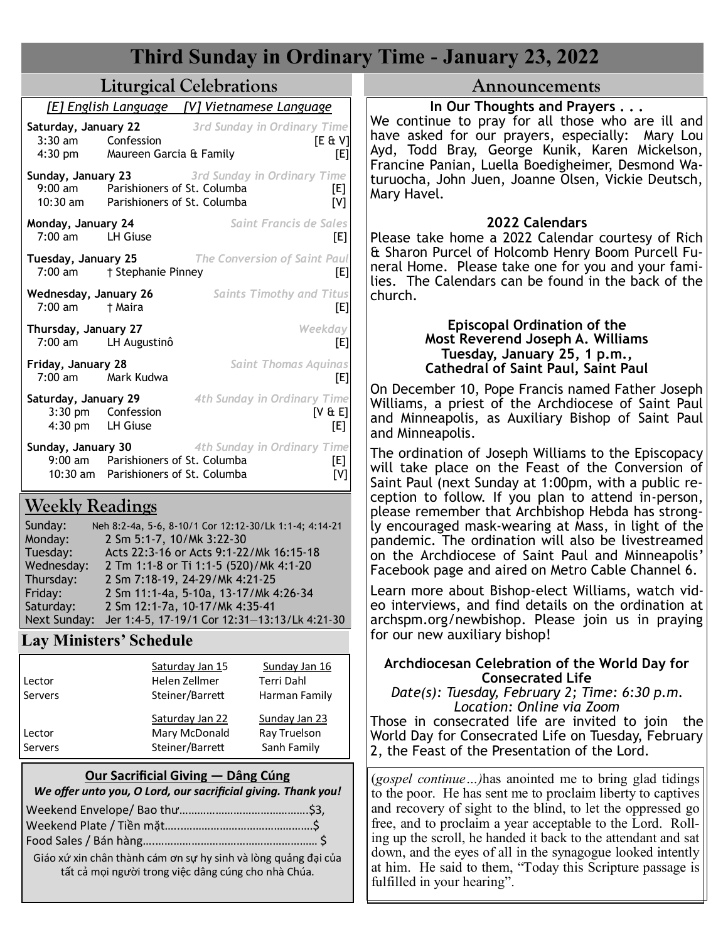| <b>Third Sunday in Ordinary Time - January 23, 2022</b>                                                                                                                                                                                                                                                                                                                                                                                             |                                                                                                                                                                                                                                                                                                                                                                                                                                                                                                     |  |  |  |  |  |  |
|-----------------------------------------------------------------------------------------------------------------------------------------------------------------------------------------------------------------------------------------------------------------------------------------------------------------------------------------------------------------------------------------------------------------------------------------------------|-----------------------------------------------------------------------------------------------------------------------------------------------------------------------------------------------------------------------------------------------------------------------------------------------------------------------------------------------------------------------------------------------------------------------------------------------------------------------------------------------------|--|--|--|--|--|--|
| <b>Liturgical Celebrations</b>                                                                                                                                                                                                                                                                                                                                                                                                                      | Announcements                                                                                                                                                                                                                                                                                                                                                                                                                                                                                       |  |  |  |  |  |  |
| [E] English Language<br>[V] Vietnamese Language<br>3rd Sunday in Ordinary Time<br>Saturday, January 22<br>$3:30$ am<br>Confession<br>$[E \& V]$<br>Maureen Garcia & Family<br>$4:30$ pm<br>[E]<br>3rd Sunday in Ordinary Time<br>Sunday, January 23<br>9:00 am Parishioners of St. Columba<br>[E]<br>10:30 am Parishioners of St. Columba<br>[V]                                                                                                    | In Our Thoughts and Prayers<br>We continue to pray for all those who are ill and<br>have asked for our prayers, especially: Mary Lou<br>Ayd, Todd Bray, George Kunik, Karen Mickelson,<br>Francine Panian, Luella Boedigheimer, Desmond Wa-<br>turuocha, John Juen, Joanne Olsen, Vickie Deutsch,<br>Mary Havel.                                                                                                                                                                                    |  |  |  |  |  |  |
| Saint Francis de Sales<br>Monday, January 24<br>$7:00$ am<br>LH Giuse<br>[E]<br>Tuesday, January 25<br><b>The Conversion of Saint Paul</b><br>7:00 am<br>† Stephanie Pinney<br>[E]]<br>Wednesday, January 26<br><b>Saints Timothy and Titus</b><br>7:00 am<br>† Maira<br>[E]                                                                                                                                                                        | 2022 Calendars<br>Please take home a 2022 Calendar courtesy of Rich<br>& Sharon Purcel of Holcomb Henry Boom Purcell Fu-<br>neral Home. Please take one for you and your fami-<br>lies. The Calendars can be found in the back of the<br>church.                                                                                                                                                                                                                                                    |  |  |  |  |  |  |
| Thursday, January 27<br>Weekday<br>$7:00$ am<br>LH Augustinô<br>[E]<br>Friday, January 28<br><b>Saint Thomas Aquinas</b><br>Mark Kudwa                                                                                                                                                                                                                                                                                                              | <b>Episcopal Ordination of the</b><br>Most Reverend Joseph A. Williams<br>Tuesday, January 25, 1 p.m.,<br><b>Cathedral of Saint Paul, Saint Paul</b>                                                                                                                                                                                                                                                                                                                                                |  |  |  |  |  |  |
| $7:00$ am<br>[E]<br>Saturday, January 29<br>4th Sunday in Ordinary Time<br>$3:30$ pm<br>Confession<br>[V & E]<br>$4:30$ pm<br>LH Giuse<br>[E]                                                                                                                                                                                                                                                                                                       | On December 10, Pope Francis named Father Joseph<br>Williams, a priest of the Archdiocese of Saint Paul<br>and Minneapolis, as Auxiliary Bishop of Saint Paul<br>and Minneapolis.                                                                                                                                                                                                                                                                                                                   |  |  |  |  |  |  |
| Sunday, January 30<br>4th Sunday in Ordinary Time<br>9:00 am Parishioners of St. Columba<br>[E]<br>10:30 am Parishioners of St. Columba<br>[V]<br><b>Weekly Readings</b><br>Sunday:<br>Neh 8:2-4a, 5-6, 8-10/1 Cor 12:12-30/Lk 1:1-4; 4:14-21<br>Monday:<br>2 Sm 5:1-7, 10/Mk 3:22-30<br>Acts 22:3-16 or Acts 9:1-22/Mk 16:15-18<br>Tuesday:<br>Wednesday:<br>2 Tm 1:1-8 or Ti 1:1-5 (520)/Mk 4:1-20<br>2 Sm 7:18-19, 24-29/Mk 4:21-25<br>Thursday: | The ordination of Joseph Williams to the Episcopacy<br>will take place on the Feast of the Conversion of<br>Saint Paul (next Sunday at 1:00pm, with a public re-<br>ception to follow. If you plan to attend in-person,<br>please remember that Archbishop Hebda has strong-<br>ly encouraged mask-wearing at Mass, in light of the<br>pandemic. The ordination will also be livestreamed<br>on the Archdiocese of Saint Paul and Minneapolis'<br>Facebook page and aired on Metro Cable Channel 6. |  |  |  |  |  |  |
| 2 Sm 11:1-4a, 5-10a, 13-17/Mk 4:26-34<br>Friday:<br>Saturday:<br>2 Sm 12:1-7a, 10-17/Mk 4:35-41<br>Next Sunday: Jer 1:4-5, 17-19/1 Cor 12:31-13:13/Lk 4:21-30<br><b>Lay Ministers' Schedule</b>                                                                                                                                                                                                                                                     | Learn more about Bishop-elect Williams, watch vid-<br>eo interviews, and find details on the ordination at<br>archspm.org/newbishop. Please join us in praying<br>for our new auxiliary bishop!                                                                                                                                                                                                                                                                                                     |  |  |  |  |  |  |
| Saturday Jan 15<br>Sunday Jan 16<br>Helen Zellmer<br>Terri Dahl<br>Lector<br>Steiner/Barrett<br>Harman Family<br>Servers<br>Saturday Jan 22<br>Sunday Jan 23<br>Mary McDonald<br>Ray Truelson<br>Lector<br>Steiner/Barrett<br>Sanh Family<br>Servers                                                                                                                                                                                                | Archdiocesan Celebration of the World Day for<br><b>Consecrated Life</b><br>Date(s): Tuesday, February 2; Time: 6:30 p.m.<br>Location: Online via Zoom<br>Those in consecrated life are invited to join the<br>World Day for Consecrated Life on Tuesday, February<br>2, the Feast of the Presentation of the Lord.                                                                                                                                                                                 |  |  |  |  |  |  |
| Our Sacrificial Giving – Dâng Cúng<br>We offer unto you, O Lord, our sacrificial giving. Thank you!<br>Giáo xứ xin chân thành cám ơn sự hy sinh và lòng quảng đại của<br>tất cả mọi người trong việc dâng cúng cho nhà Chúa.                                                                                                                                                                                                                        | (gospel continue) has anointed me to bring glad tidings<br>to the poor. He has sent me to proclaim liberty to captives<br>and recovery of sight to the blind, to let the oppressed go<br>free, and to proclaim a year acceptable to the Lord. Roll-<br>ing up the scroll, he handed it back to the attendant and sat<br>down, and the eyes of all in the synagogue looked intently<br>at him. He said to them, "Today this Scripture passage is<br>fulfilled in your hearing".                      |  |  |  |  |  |  |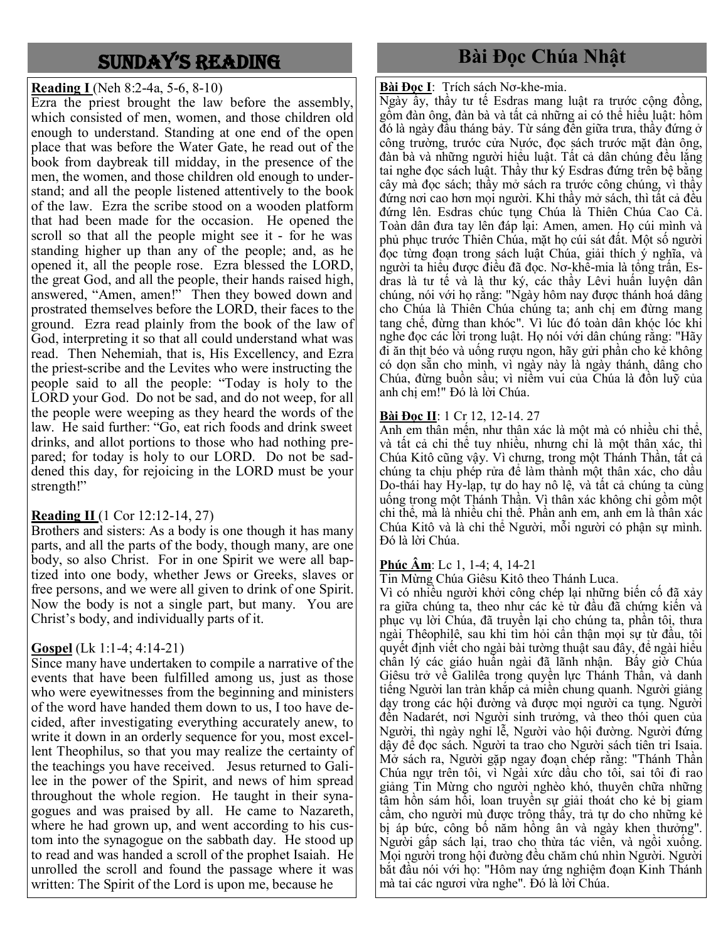### Sunday'S Reading

### **Reading I** (Neh 8:2-4a, 5-6, 8-10)

Ezra the priest brought the law before the assembly, which consisted of men, women, and those children old enough to understand. Standing at one end of the open place that was before the Water Gate, he read out of the book from daybreak till midday, in the presence of the men, the women, and those children old enough to understand; and all the people listened attentively to the book of the law. Ezra the scribe stood on a wooden platform that had been made for the occasion. He opened the scroll so that all the people might see it - for he was standing higher up than any of the people; and, as he opened it, all the people rose. Ezra blessed the LORD, the great God, and all the people, their hands raised high, answered, "Amen, amen!" Then they bowed down and prostrated themselves before the LORD, their faces to the ground. Ezra read plainly from the book of the law of God, interpreting it so that all could understand what was read. Then Nehemiah, that is, His Excellency, and Ezra the priest-scribe and the Levites who were instructing the people said to all the people: "Today is holy to the LORD your God. Do not be sad, and do not weep, for all the people were weeping as they heard the words of the law. He said further: "Go, eat rich foods and drink sweet drinks, and allot portions to those who had nothing prepared; for today is holy to our LORD. Do not be saddened this day, for rejoicing in the LORD must be your strength!"

### **Reading II** (1 Cor 12:12-14, 27)

Brothers and sisters: As a body is one though it has many parts, and all the parts of the body, though many, are one body, so also Christ. For in one Spirit we were all baptized into one body, whether Jews or Greeks, slaves or free persons, and we were all given to drink of one Spirit. Now the body is not a single part, but many. You are Christ's body, and individually parts of it.

### **Gospel** (Lk 1:1-4; 4:14-21)

Since many have undertaken to compile a narrative of the events that have been fulfilled among us, just as those who were eyewitnesses from the beginning and ministers of the word have handed them down to us, I too have decided, after investigating everything accurately anew, to write it down in an orderly sequence for you, most excellent Theophilus, so that you may realize the certainty of the teachings you have received. Jesus returned to Galilee in the power of the Spirit, and news of him spread throughout the whole region. He taught in their synagogues and was praised by all. He came to Nazareth, where he had grown up, and went according to his custom into the synagogue on the sabbath day. He stood up to read and was handed a scroll of the prophet Isaiah. He unrolled the scroll and found the passage where it was written: The Spirit of the Lord is upon me, because he

### **Bài Đọc Chúa Nhật**

**Bài Đọc I**: Trích sách Nơ-khe-mia.

Ngày ấy, thầy tư tế Esdras mang luật ra trước cộng đồng, gồm đàn ông, đàn bà và tất cả những ai có thể hiểu luật: hôm đó là ngày đầu tháng bảy. Từ sáng đến giữa trưa, thầy đứng ở công trường, trước cửa Nước, đọc sách trước mặt đàn ông, đàn bà và những người hiểu luật. Tất cả dân chúng đều lắng tai nghe đọc sách luật. Thầy thư ký Esdras đứng trên bệ bằng cây mà đọc sách; thầy mở sách ra trước công chúng, vì thầy đứng nơi cao hơn mọi người. Khi thầy mở sách, thì tất cả đều đứng lên. Esdras chúc tụng Chúa là Thiên Chúa Cao Cả. Toàn dân đưa tay lên đáp lại: Amen, amen. Họ cúi mình và phủ phục trước Thiên Chúa, mặt họ cúi sát đất. Một số người đọc từng đoạn trong sách luật Chúa, giải thích ý nghĩa, và người ta hiểu được điều đã đọc. Nơ-khê-mia là tổng trấn, Esdras là tư tế và là thư ký, các thầy Lêvi huấn luyện dân chúng, nói với họ rằng: "Ngày hôm nay được thánh hoá dâng cho Chúa là Thiên Chúa chúng ta; anh chị em đừng mang tang chế, đừng than khóc". Vì lúc đó toàn dân khóc lóc khi nghe đọc các lời trong luật. Họ nói với dân chúng rằng: "Hãy đi ăn thịt béo và uống rượu ngon, hãy gửi phần cho kẻ không có dọn sẵn cho mình, vì ngày này là ngày thánh, dâng cho Chúa, đừng buồn sầu; vì niềm vui của Chúa là đồn luỹ của anh chị em!" Đó là lời Chúa.

### **Bài Đọc II**: 1 Cr 12, 12-14. 27

Anh em thân mến, như thân xác là một mà có nhiều chi thể, và tất cả chi thể tuy nhiều, nhưng chỉ là một thân xác, thì Chúa Kitô cũng vậy. Vì chưng, trong một Thánh Thần, tất cả chúng ta chịu phép rửa để làm thành một thân xác, cho dầu Do-thái hay Hy-lạp, tự do hay nô lệ, và tất cả chúng ta cùng uống trong một Thánh Thần. Vì thân xác không chỉ gồm một chi thể, mà là nhiều chi thể. Phần anh em, anh em là thân xác Chúa Kitô và là chi thể Người, mỗi người có phận sự mình. Đó là lời Chúa.

### **Phúc Âm**: Lc 1, 1-4; 4, 14-21

Tin Mừng Chúa Giêsu Kitô theo Thánh Luca.

Vì có nhiều người khởi công chép lại những biến cố đã xảy ra giữa chúng ta, theo như các kẻ từ đầu đã chứng kiến và phục vụ lời Chúa, đã truyền lại cho chúng ta, phần tôi, thưa ngài Thêophilê, sau khi tìm hỏi cẩn thận mọi sự từ đầu, tôi quyết định viết cho ngài bài tường thuật sau đây, để ngài hiểu chân lý các giáo huấn ngài đã lãnh nhận. Bấy giờ Chúa Giêsu trở về Galilêa trong quyền lực Thánh Thần, và danh tiếng Người lan tràn khắp cả miền chung quanh. Người giảng dạy trong các hội đường và được mọi người ca tụng. Người đến Nadarét, nơi Người sinh trưởng, và theo thói quen của Người, thì ngày nghỉ lễ, Người vào hội đường. Người đứng dậy để đọc sách. Người ta trao cho Người sách tiên tri Isaia. Mở sách ra, Người gặp ngay đoạn chép rằng: "Thánh Thần Chúa ngự trên tôi, vì Ngài xức dầu cho tôi, sai tôi đi rao giảng Tin Mừng cho người nghèo khó, thuyên chữa những tâm hồn sám hối, loan truyền sự giải thoát cho kẻ bị giam cầm, cho người mù được trông thấy, trả tự do cho những kẻ bị áp bức, công bố năm hồng ân và ngày khen thưởng". Người gấp sách lại, trao cho thừa tác viên, và ngồi xuống. Mọi người trong hội đường đều chăm chú nhìn Người. Người bắt đầu nói với họ: "Hôm nay ứng nghiệm đoạn Kinh Thánh mà tai các ngươi vừa nghe". Đó là lời Chúa.